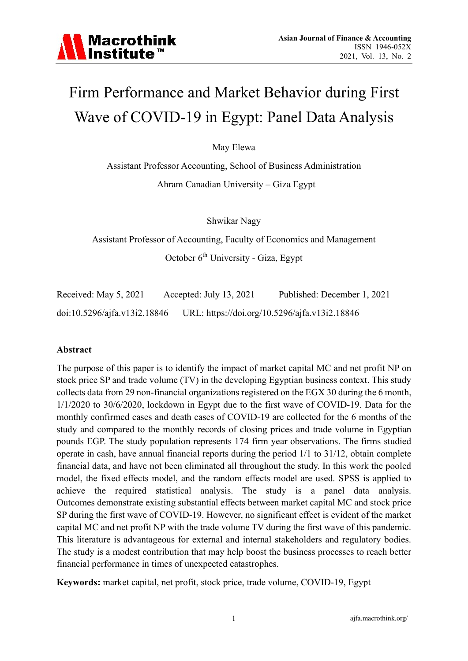

# Firm Performance and Market Behavior during First Wave of COVID-19 in Egypt: Panel Data Analysis

May Elewa

Assistant Professor Accounting, School of Business Administration

Ahram Canadian University – Giza Egypt

Shwikar Nagy

Assistant Professor of Accounting, Faculty of Economics and Management October 6<sup>th</sup> University - Giza, Egypt

Received: May 5, 2021 Accepted: July 13, 2021 Published: December 1, 2021 doi:10.5296/ajfa.v13i2.18846 URL: https://doi.org/10.5296/ajfa.v13i2.18846

# Abstract

The purpose of this paper is to identify the impact of market capital MC and net profit NP on stock price SP and trade volume (TV) in the developing Egyptian business context. This study collects data from 29 non-financial organizations registered on the EGX 30 during the 6 month, 1/1/2020 to 30/6/2020, lockdown in Egypt due to the first wave of COVID-19. Data for the monthly confirmed cases and death cases of COVID-19 are collected for the 6 months of the study and compared to the monthly records of closing prices and trade volume in Egyptian pounds EGP. The study population represents 174 firm year observations. The firms studied operate in cash, have annual financial reports during the period 1/1 to 31/12, obtain complete financial data, and have not been eliminated all throughout the study. In this work the pooled model, the fixed effects model, and the random effects model are used. SPSS is applied to achieve the required statistical analysis. The study is a panel data analysis. Outcomes demonstrate existing substantial effects between market capital MC and stock price SP during the first wave of COVID-19. However, no significant effect is evident of the market capital MC and net profit NP with the trade volume TV during the first wave of this pandemic. This literature is advantageous for external and internal stakeholders and regulatory bodies. The study is a modest contribution that may help boost the business processes to reach better financial performance in times of unexpected catastrophes.

Keywords: market capital, net profit, stock price, trade volume, COVID-19, Egypt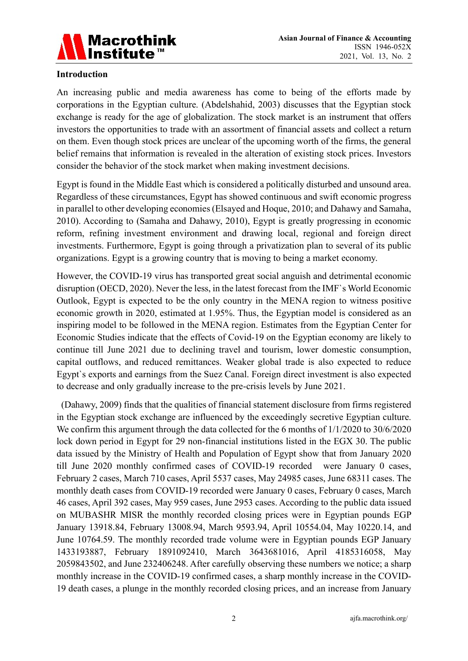

#### Introduction

An increasing public and media awareness has come to being of the efforts made by corporations in the Egyptian culture. (Abdelshahid, 2003) discusses that the Egyptian stock exchange is ready for the age of globalization. The stock market is an instrument that offers investors the opportunities to trade with an assortment of financial assets and collect a return on them. Even though stock prices are unclear of the upcoming worth of the firms, the general belief remains that information is revealed in the alteration of existing stock prices. Investors consider the behavior of the stock market when making investment decisions.

Egypt is found in the Middle East which is considered a politically disturbed and unsound area. Regardless of these circumstances, Egypt has showed continuous and swift economic progress in parallel to other developing economies (Elsayed and Hoque, 2010; and Dahawy and Samaha, 2010). According to (Samaha and Dahawy, 2010), Egypt is greatly progressing in economic reform, refining investment environment and drawing local, regional and foreign direct investments. Furthermore, Egypt is going through a privatization plan to several of its public organizations. Egypt is a growing country that is moving to being a market economy.

However, the COVID-19 virus has transported great social anguish and detrimental economic disruption (OECD, 2020). Never the less, in the latest forecast from the IMF`s World Economic Outlook, Egypt is expected to be the only country in the MENA region to witness positive economic growth in 2020, estimated at 1.95%. Thus, the Egyptian model is considered as an inspiring model to be followed in the MENA region. Estimates from the Egyptian Center for Economic Studies indicate that the effects of Covid-19 on the Egyptian economy are likely to continue till June 2021 due to declining travel and tourism, lower domestic consumption, capital outflows, and reduced remittances. Weaker global trade is also expected to reduce Egypt`s exports and earnings from the Suez Canal. Foreign direct investment is also expected to decrease and only gradually increase to the pre-crisis levels by June 2021.

 (Dahawy, 2009) finds that the qualities of financial statement disclosure from firms registered in the Egyptian stock exchange are influenced by the exceedingly secretive Egyptian culture. We confirm this argument through the data collected for the 6 months of  $1/1/2020$  to  $30/6/2020$ lock down period in Egypt for 29 non-financial institutions listed in the EGX 30. The public data issued by the Ministry of Health and Population of Egypt show that from January 2020 till June 2020 monthly confirmed cases of COVID-19 recorded were January 0 cases, February 2 cases, March 710 cases, April 5537 cases, May 24985 cases, June 68311 cases. The monthly death cases from COVID-19 recorded were January 0 cases, February 0 cases, March 46 cases, April 392 cases, May 959 cases, June 2953 cases. According to the public data issued on MUBASHR MISR the monthly recorded closing prices were in Egyptian pounds EGP January 13918.84, February 13008.94, March 9593.94, April 10554.04, May 10220.14, and June 10764.59. The monthly recorded trade volume were in Egyptian pounds EGP January 1433193887, February 1891092410, March 3643681016, April 4185316058, May 2059843502, and June 232406248. After carefully observing these numbers we notice; a sharp monthly increase in the COVID-19 confirmed cases, a sharp monthly increase in the COVID-19 death cases, a plunge in the monthly recorded closing prices, and an increase from January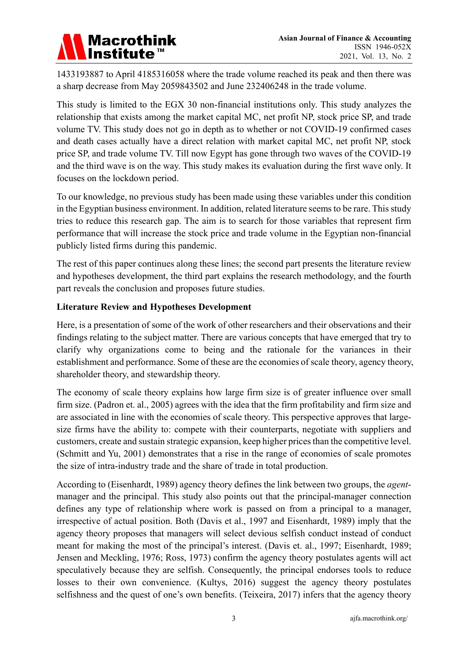# Macrothink<br>Institute™

1433193887 to April 4185316058 where the trade volume reached its peak and then there was a sharp decrease from May 2059843502 and June 232406248 in the trade volume.

This study is limited to the EGX 30 non-financial institutions only. This study analyzes the relationship that exists among the market capital MC, net profit NP, stock price SP, and trade volume TV. This study does not go in depth as to whether or not COVID-19 confirmed cases and death cases actually have a direct relation with market capital MC, net profit NP, stock price SP, and trade volume TV. Till now Egypt has gone through two waves of the COVID-19 and the third wave is on the way. This study makes its evaluation during the first wave only. It focuses on the lockdown period.

To our knowledge, no previous study has been made using these variables under this condition in the Egyptian business environment. In addition, related literature seems to be rare. This study tries to reduce this research gap. The aim is to search for those variables that represent firm performance that will increase the stock price and trade volume in the Egyptian non-financial publicly listed firms during this pandemic.

The rest of this paper continues along these lines; the second part presents the literature review and hypotheses development, the third part explains the research methodology, and the fourth part reveals the conclusion and proposes future studies.

# Literature Review and Hypotheses Development

Here, is a presentation of some of the work of other researchers and their observations and their findings relating to the subject matter. There are various concepts that have emerged that try to clarify why organizations come to being and the rationale for the variances in their establishment and performance. Some of these are the economies of scale theory, agency theory, shareholder theory, and stewardship theory.

The economy of scale theory explains how large firm size is of greater influence over small firm size. (Padron et. al., 2005) agrees with the idea that the firm profitability and firm size and are associated in line with the economies of scale theory. This perspective approves that largesize firms have the ability to: compete with their counterparts, negotiate with suppliers and customers, create and sustain strategic expansion, keep higher prices than the competitive level. (Schmitt and Yu, 2001) demonstrates that a rise in the range of economies of scale promotes the size of intra-industry trade and the share of trade in total production.

According to (Eisenhardt, 1989) agency theory defines the link between two groups, the *agent*manager and the principal. This study also points out that the principal-manager connection defines any type of relationship where work is passed on from a principal to a manager, irrespective of actual position. Both (Davis et al., 1997 and Eisenhardt, 1989) imply that the agency theory proposes that managers will select devious selfish conduct instead of conduct meant for making the most of the principal's interest. (Davis et. al., 1997; Eisenhardt, 1989; Jensen and Meckling, 1976; Ross, 1973) confirm the agency theory postulates agents will act speculatively because they are selfish. Consequently, the principal endorses tools to reduce losses to their own convenience. (Kultys, 2016) suggest the agency theory postulates selfishness and the quest of one's own benefits. (Teixeira, 2017) infers that the agency theory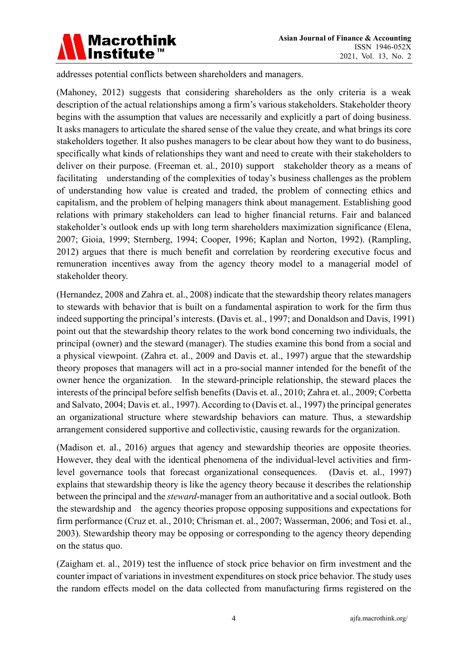

addresses potential conflicts between shareholders and managers.

(Mahoney, 2012) suggests that considering shareholders as the only criteria is a weak description of the actual relationships among a firm's various stakeholders. Stakeholder theory begins with the assumption that values are necessarily and explicitly a part of doing business. It asks managers to articulate the shared sense of the value they create, and what brings its core stakeholders together. It also pushes managers to be clear about how they want to do business, specifically what kinds of relationships they want and need to create with their stakeholders to deliver on their purpose. (Freeman et. al., 2010) support stakeholder theory as a means of facilitating understanding of the complexities of today's business challenges as the problem of understanding how value is created and traded, the problem of connecting ethics and capitalism, and the problem of helping managers think about management. Establishing good relations with primary stakeholders can lead to higher financial returns. Fair and balanced stakeholder's outlook ends up with long term shareholders maximization significance (Elena, 2007; Gioia, 1999; Sternberg, 1994; Cooper, 1996; Kaplan and Norton, 1992). (Rampling, 2012) argues that there is much benefit and correlation by reordering executive focus and remuneration incentives away from the agency theory model to a managerial model of stakeholder theory.

(Hernandez, 2008 and Zahra et. al., 2008) indicate that the stewardship theory relates managers to stewards with behavior that is built on a fundamental aspiration to work for the firm thus indeed supporting the principal's interests. (Davis et. al., 1997; and Donaldson and Davis, 1991) point out that the stewardship theory relates to the work bond concerning two individuals, the principal (owner) and the steward (manager). The studies examine this bond from a social and a physical viewpoint. (Zahra et. al., 2009 and Davis et. al., 1997) argue that the stewardship theory proposes that managers will act in a pro-social manner intended for the benefit of the owner hence the organization. In the steward-principle relationship, the steward places the interests of the principal before selfish benefits (Davis et. al., 2010; Zahra et. al., 2009; Corbetta and Salvato, 2004; Davis et. al., 1997). According to (Davis et. al., 1997) the principal generates an organizational structure where stewardship behaviors can mature. Thus, a stewardship arrangement considered supportive and collectivistic, causing rewards for the organization.

(Madison et. al., 2016) argues that agency and stewardship theories are opposite theories. However, they deal with the identical phenomena of the individual-level activities and firmlevel governance tools that forecast organizational consequences. (Davis et. al., 1997) explains that stewardship theory is like the agency theory because it describes the relationship between the principal and the *steward*-manager from an authoritative and a social outlook. Both the stewardship and the agency theories propose opposing suppositions and expectations for firm performance (Cruz et. al., 2010; Chrisman et. al., 2007; Wasserman, 2006; and Tosi et. al., 2003). Stewardship theory may be opposing or corresponding to the agency theory depending on the status quo.

(Zaigham et. al., 2019) test the influence of stock price behavior on firm investment and the counter impact of variations in investment expenditures on stock price behavior. The study uses the random effects model on the data collected from manufacturing firms registered on the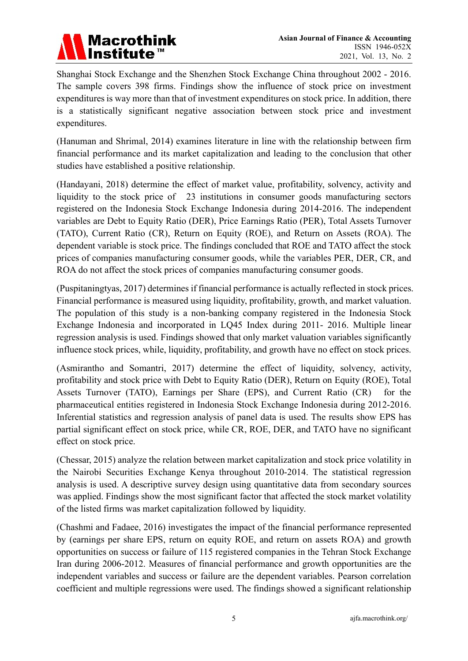

Shanghai Stock Exchange and the Shenzhen Stock Exchange China throughout 2002 - 2016. The sample covers 398 firms. Findings show the influence of stock price on investment expenditures is way more than that of investment expenditures on stock price. In addition, there is a statistically significant negative association between stock price and investment expenditures.

(Hanuman and Shrimal, 2014) examines literature in line with the relationship between firm financial performance and its market capitalization and leading to the conclusion that other studies have established a positive relationship.

(Handayani, 2018) determine the effect of market value, profitability, solvency, activity and liquidity to the stock price of 23 institutions in consumer goods manufacturing sectors registered on the Indonesia Stock Exchange Indonesia during 2014-2016. The independent variables are Debt to Equity Ratio (DER), Price Earnings Ratio (PER), Total Assets Turnover (TATO), Current Ratio (CR), Return on Equity (ROE), and Return on Assets (ROA). The dependent variable is stock price. The findings concluded that ROE and TATO affect the stock prices of companies manufacturing consumer goods, while the variables PER, DER, CR, and ROA do not affect the stock prices of companies manufacturing consumer goods.

(Puspitaningtyas, 2017) determines if financial performance is actually reflected in stock prices. Financial performance is measured using liquidity, profitability, growth, and market valuation. The population of this study is a non-banking company registered in the Indonesia Stock Exchange Indonesia and incorporated in LQ45 Index during 2011- 2016. Multiple linear regression analysis is used. Findings showed that only market valuation variables significantly influence stock prices, while, liquidity, profitability, and growth have no effect on stock prices.

(Asmirantho and Somantri, 2017) determine the effect of liquidity, solvency, activity, profitability and stock price with Debt to Equity Ratio (DER), Return on Equity (ROE), Total Assets Turnover (TATO), Earnings per Share (EPS), and Current Ratio (CR) for the pharmaceutical entities registered in Indonesia Stock Exchange Indonesia during 2012-2016. Inferential statistics and regression analysis of panel data is used. The results show EPS has partial significant effect on stock price, while CR, ROE, DER, and TATO have no significant effect on stock price.

(Chessar, 2015) analyze the relation between market capitalization and stock price volatility in the Nairobi Securities Exchange Kenya throughout 2010-2014. The statistical regression analysis is used. A descriptive survey design using quantitative data from secondary sources was applied. Findings show the most significant factor that affected the stock market volatility of the listed firms was market capitalization followed by liquidity.

(Chashmi and Fadaee, 2016) investigates the impact of the financial performance represented by (earnings per share EPS, return on equity ROE, and return on assets ROA) and growth opportunities on success or failure of 115 registered companies in the Tehran Stock Exchange Iran during 2006-2012. Measures of financial performance and growth opportunities are the independent variables and success or failure are the dependent variables. Pearson correlation coefficient and multiple regressions were used. The findings showed a significant relationship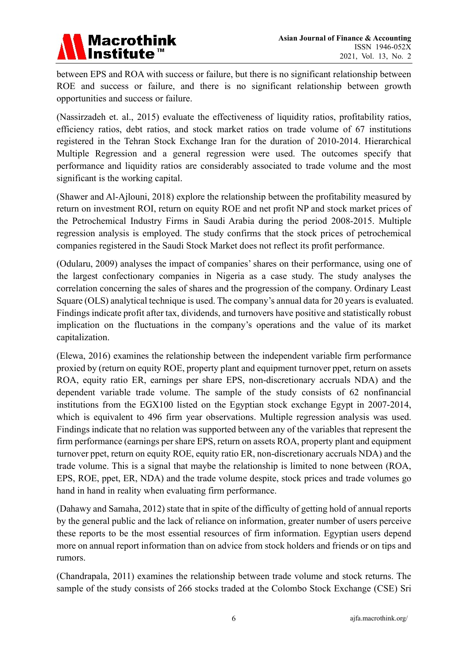

between EPS and ROA with success or failure, but there is no significant relationship between ROE and success or failure, and there is no significant relationship between growth opportunities and success or failure.

(Nassirzadeh et. al., 2015) evaluate the effectiveness of liquidity ratios, profitability ratios, efficiency ratios, debt ratios, and stock market ratios on trade volume of 67 institutions registered in the Tehran Stock Exchange Iran for the duration of 2010-2014. Hierarchical Multiple Regression and a general regression were used. The outcomes specify that performance and liquidity ratios are considerably associated to trade volume and the most significant is the working capital.

(Shawer and Al-Ajlouni, 2018) explore the relationship between the profitability measured by return on investment ROI, return on equity ROE and net profit NP and stock market prices of the Petrochemical Industry Firms in Saudi Arabia during the period 2008-2015. Multiple regression analysis is employed. The study confirms that the stock prices of petrochemical companies registered in the Saudi Stock Market does not reflect its profit performance.

(Odularu, 2009) analyses the impact of companies' shares on their performance, using one of the largest confectionary companies in Nigeria as a case study. The study analyses the correlation concerning the sales of shares and the progression of the company. Ordinary Least Square (OLS) analytical technique is used. The company's annual data for 20 years is evaluated. Findings indicate profit after tax, dividends, and turnovers have positive and statistically robust implication on the fluctuations in the company's operations and the value of its market capitalization.

(Elewa, 2016) examines the relationship between the independent variable firm performance proxied by (return on equity ROE, property plant and equipment turnover ppet, return on assets ROA, equity ratio ER, earnings per share EPS, non-discretionary accruals NDA) and the dependent variable trade volume. The sample of the study consists of 62 nonfinancial institutions from the EGX100 listed on the Egyptian stock exchange Egypt in 2007-2014, which is equivalent to 496 firm year observations. Multiple regression analysis was used. Findings indicate that no relation was supported between any of the variables that represent the firm performance (earnings per share EPS, return on assets ROA, property plant and equipment turnover ppet, return on equity ROE, equity ratio ER, non-discretionary accruals NDA) and the trade volume. This is a signal that maybe the relationship is limited to none between (ROA, EPS, ROE, ppet, ER, NDA) and the trade volume despite, stock prices and trade volumes go hand in hand in reality when evaluating firm performance.

(Dahawy and Samaha, 2012) state that in spite of the difficulty of getting hold of annual reports by the general public and the lack of reliance on information, greater number of users perceive these reports to be the most essential resources of firm information. Egyptian users depend more on annual report information than on advice from stock holders and friends or on tips and rumors.

(Chandrapala, 2011) examines the relationship between trade volume and stock returns. The sample of the study consists of 266 stocks traded at the Colombo Stock Exchange (CSE) Sri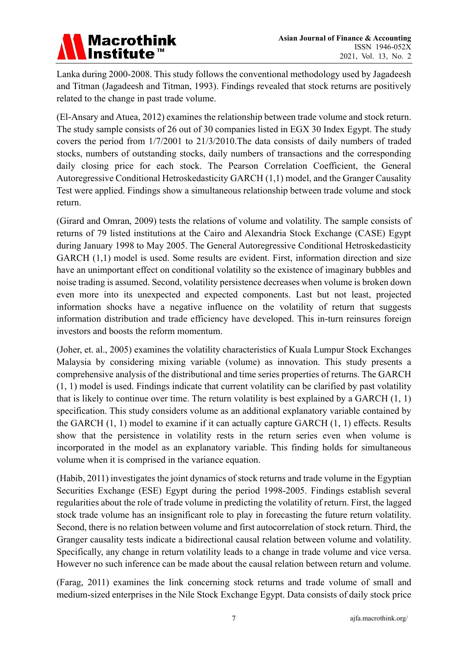

Lanka during 2000-2008. This study follows the conventional methodology used by Jagadeesh and Titman (Jagadeesh and Titman, 1993). Findings revealed that stock returns are positively related to the change in past trade volume.

(El-Ansary and Atuea, 2012) examines the relationship between trade volume and stock return. The study sample consists of 26 out of 30 companies listed in EGX 30 Index Egypt. The study covers the period from 1/7/2001 to 21/3/2010.The data consists of daily numbers of traded stocks, numbers of outstanding stocks, daily numbers of transactions and the corresponding daily closing price for each stock. The Pearson Correlation Coefficient, the General Autoregressive Conditional Hetroskedasticity GARCH (1,1) model, and the Granger Causality Test were applied. Findings show a simultaneous relationship between trade volume and stock return.

(Girard and Omran, 2009) tests the relations of volume and volatility. The sample consists of returns of 79 listed institutions at the Cairo and Alexandria Stock Exchange (CASE) Egypt during January 1998 to May 2005. The General Autoregressive Conditional Hetroskedasticity GARCH (1,1) model is used. Some results are evident. First, information direction and size have an unimportant effect on conditional volatility so the existence of imaginary bubbles and noise trading is assumed. Second, volatility persistence decreases when volume is broken down even more into its unexpected and expected components. Last but not least, projected information shocks have a negative influence on the volatility of return that suggests information distribution and trade efficiency have developed. This in-turn reinsures foreign investors and boosts the reform momentum.

(Joher, et. al., 2005) examines the volatility characteristics of Kuala Lumpur Stock Exchanges Malaysia by considering mixing variable (volume) as innovation. This study presents a comprehensive analysis of the distributional and time series properties of returns. The GARCH (1, 1) model is used. Findings indicate that current volatility can be clarified by past volatility that is likely to continue over time. The return volatility is best explained by a GARCH (1, 1) specification. This study considers volume as an additional explanatory variable contained by the GARCH (1, 1) model to examine if it can actually capture GARCH (1, 1) effects. Results show that the persistence in volatility rests in the return series even when volume is incorporated in the model as an explanatory variable. This finding holds for simultaneous volume when it is comprised in the variance equation.

(Habib, 2011) investigates the joint dynamics of stock returns and trade volume in the Egyptian Securities Exchange (ESE) Egypt during the period 1998-2005. Findings establish several regularities about the role of trade volume in predicting the volatility of return. First, the lagged stock trade volume has an insignificant role to play in forecasting the future return volatility. Second, there is no relation between volume and first autocorrelation of stock return. Third, the Granger causality tests indicate a bidirectional causal relation between volume and volatility. Specifically, any change in return volatility leads to a change in trade volume and vice versa. However no such inference can be made about the causal relation between return and volume.

(Farag, 2011) examines the link concerning stock returns and trade volume of small and medium-sized enterprises in the Nile Stock Exchange Egypt. Data consists of daily stock price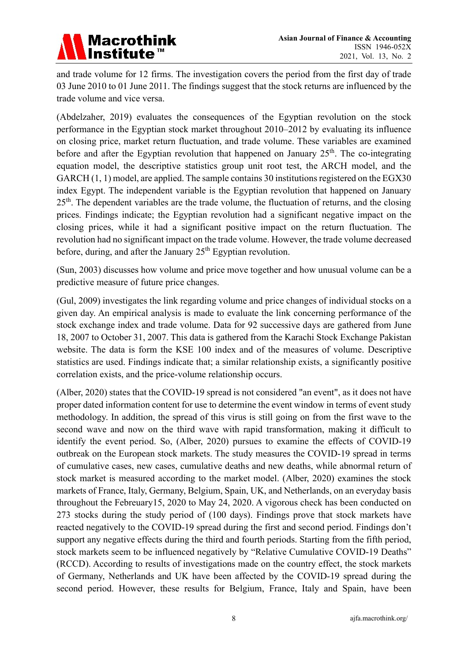

and trade volume for 12 firms. The investigation covers the period from the first day of trade 03 June 2010 to 01 June 2011. The findings suggest that the stock returns are influenced by the trade volume and vice versa.

(Abdelzaher, 2019) evaluates the consequences of the Egyptian revolution on the stock performance in the Egyptian stock market throughout 2010–2012 by evaluating its influence on closing price, market return fluctuation, and trade volume. These variables are examined before and after the Egyptian revolution that happened on January  $25<sup>th</sup>$ . The co-integrating equation model, the descriptive statistics group unit root test, the ARCH model, and the GARCH  $(1, 1)$  model, are applied. The sample contains 30 institutions registered on the EGX30 index Egypt. The independent variable is the Egyptian revolution that happened on January 25<sup>th</sup>. The dependent variables are the trade volume, the fluctuation of returns, and the closing prices. Findings indicate; the Egyptian revolution had a significant negative impact on the closing prices, while it had a significant positive impact on the return fluctuation. The revolution had no significant impact on the trade volume. However, the trade volume decreased before, during, and after the January  $25<sup>th</sup>$  Egyptian revolution.

(Sun, 2003) discusses how volume and price move together and how unusual volume can be a predictive measure of future price changes.

(Gul, 2009) investigates the link regarding volume and price changes of individual stocks on a given day. An empirical analysis is made to evaluate the link concerning performance of the stock exchange index and trade volume. Data for 92 successive days are gathered from June 18, 2007 to October 31, 2007. This data is gathered from the Karachi Stock Exchange Pakistan website. The data is form the KSE 100 index and of the measures of volume. Descriptive statistics are used. Findings indicate that; a similar relationship exists, a significantly positive correlation exists, and the price-volume relationship occurs.

(Alber, 2020) states that the COVID-19 spread is not considered "an event", as it does not have proper dated information content for use to determine the event window in terms of event study methodology. In addition, the spread of this virus is still going on from the first wave to the second wave and now on the third wave with rapid transformation, making it difficult to identify the event period. So, (Alber, 2020) pursues to examine the effects of COVID-19 outbreak on the European stock markets. The study measures the COVID-19 spread in terms of cumulative cases, new cases, cumulative deaths and new deaths, while abnormal return of stock market is measured according to the market model. (Alber, 2020) examines the stock markets of France, Italy, Germany, Belgium, Spain, UK, and Netherlands, on an everyday basis throughout the Febreuary15, 2020 to May 24, 2020. A vigorous check has been conducted on 273 stocks during the study period of (100 days). Findings prove that stock markets have reacted negatively to the COVID-19 spread during the first and second period. Findings don't support any negative effects during the third and fourth periods. Starting from the fifth period, stock markets seem to be influenced negatively by "Relative Cumulative COVID-19 Deaths" (RCCD). According to results of investigations made on the country effect, the stock markets of Germany, Netherlands and UK have been affected by the COVID-19 spread during the second period. However, these results for Belgium, France, Italy and Spain, have been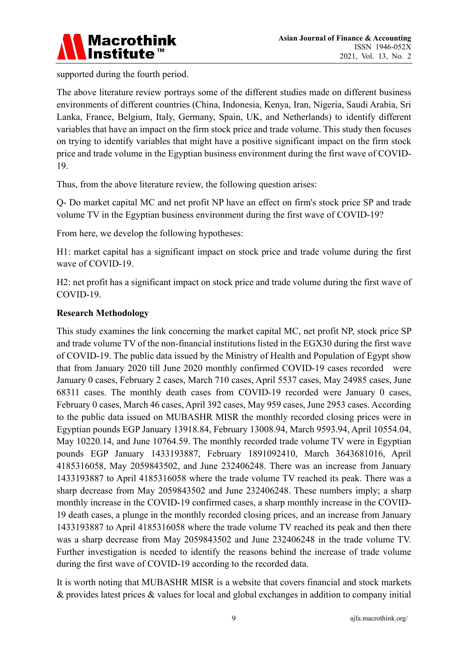

supported during the fourth period.

The above literature review portrays some of the different studies made on different business environments of different countries (China, Indonesia, Kenya, Iran, Nigeria, Saudi Arabia, Sri Lanka, France, Belgium, Italy, Germany, Spain, UK, and Netherlands) to identify different variables that have an impact on the firm stock price and trade volume. This study then focuses on trying to identify variables that might have a positive significant impact on the firm stock price and trade volume in the Egyptian business environment during the first wave of COVID-19.

Thus, from the above literature review, the following question arises:

Q- Do market capital MC and net profit NP have an effect on firm's stock price SP and trade volume TV in the Egyptian business environment during the first wave of COVID-19?

From here, we develop the following hypotheses:

H1: market capital has a significant impact on stock price and trade volume during the first wave of COVID-19.

H2: net profit has a significant impact on stock price and trade volume during the first wave of COVID-19.

#### Research Methodology

This study examines the link concerning the market capital MC, net profit NP, stock price SP and trade volume TV of the non-financial institutions listed in the EGX30 during the first wave of COVID-19. The public data issued by the Ministry of Health and Population of Egypt show that from January 2020 till June 2020 monthly confirmed COVID-19 cases recorded were January 0 cases, February 2 cases, March 710 cases, April 5537 cases, May 24985 cases, June 68311 cases. The monthly death cases from COVID-19 recorded were January 0 cases, February 0 cases, March 46 cases, April 392 cases, May 959 cases, June 2953 cases. According to the public data issued on MUBASHR MISR the monthly recorded closing prices were in Egyptian pounds EGP January 13918.84, February 13008.94, March 9593.94, April 10554.04, May 10220.14, and June 10764.59. The monthly recorded trade volume TV were in Egyptian pounds EGP January 1433193887, February 1891092410, March 3643681016, April 4185316058, May 2059843502, and June 232406248. There was an increase from January 1433193887 to April 4185316058 where the trade volume TV reached its peak. There was a sharp decrease from May 2059843502 and June 232406248. These numbers imply; a sharp monthly increase in the COVID-19 confirmed cases, a sharp monthly increase in the COVID-19 death cases, a plunge in the monthly recorded closing prices, and an increase from January 1433193887 to April 4185316058 where the trade volume TV reached its peak and then there was a sharp decrease from May 2059843502 and June 232406248 in the trade volume TV. Further investigation is needed to identify the reasons behind the increase of trade volume during the first wave of COVID-19 according to the recorded data.

It is worth noting that MUBASHR MISR is a website that covers financial and stock markets & provides latest prices & values for local and global exchanges in addition to company initial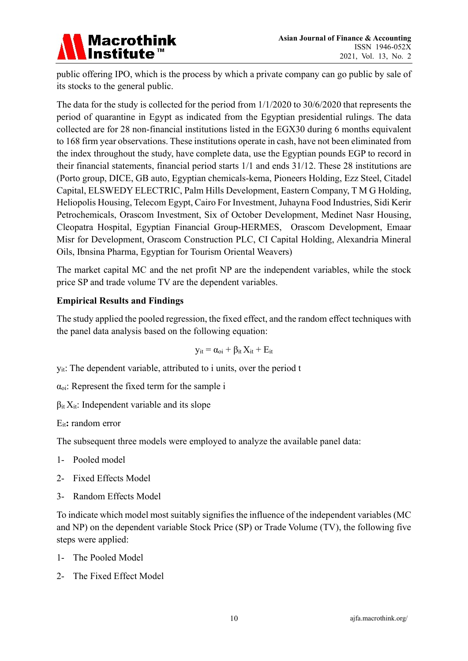

public offering IPO, which is the process by which a private company can go public by sale of its stocks to the general public.

The data for the study is collected for the period from 1/1/2020 to 30/6/2020 that represents the period of quarantine in Egypt as indicated from the Egyptian presidential rulings. The data collected are for 28 non-financial institutions listed in the EGX30 during 6 months equivalent to 168 firm year observations. These institutions operate in cash, have not been eliminated from the index throughout the study, have complete data, use the Egyptian pounds EGP to record in their financial statements, financial period starts 1/1 and ends 31/12. These 28 institutions are (Porto group, DICE, GB auto, Egyptian chemicals-kema, Pioneers Holding, Ezz Steel, Citadel Capital, ELSWEDY ELECTRIC, Palm Hills Development, Eastern Company, T M G Holding, Heliopolis Housing, Telecom Egypt, Cairo For Investment, Juhayna Food Industries, Sidi Kerir Petrochemicals, Orascom Investment, Six of October Development, Medinet Nasr Housing, Cleopatra Hospital, Egyptian Financial Group-HERMES, Orascom Development, Emaar Misr for Development, Orascom Construction PLC, CI Capital Holding, Alexandria Mineral Oils, Ibnsina Pharma, Egyptian for Tourism Oriental Weavers)

The market capital MC and the net profit NP are the independent variables, while the stock price SP and trade volume TV are the dependent variables.

# Empirical Results and Findings

The study applied the pooled regression, the fixed effect, and the random effect techniques with the panel data analysis based on the following equation:

$$
y_{it} = \alpha_{oi} + \beta_{it} X_{it} + E_{it}
$$

 $y_{it}$ : The dependent variable, attributed to i units, over the period t

 $\alpha_{oi}$ : Represent the fixed term for the sample i

 $\beta_{it}$  X<sub>it</sub>: Independent variable and its slope

Eit: random error

The subsequent three models were employed to analyze the available panel data:

- 1- Pooled model
- 2- Fixed Effects Model
- 3- Random Effects Model

To indicate which model most suitably signifies the influence of the independent variables (MC and NP) on the dependent variable Stock Price (SP) or Trade Volume (TV), the following five steps were applied:

- 1- The Pooled Model
- 2- The Fixed Effect Model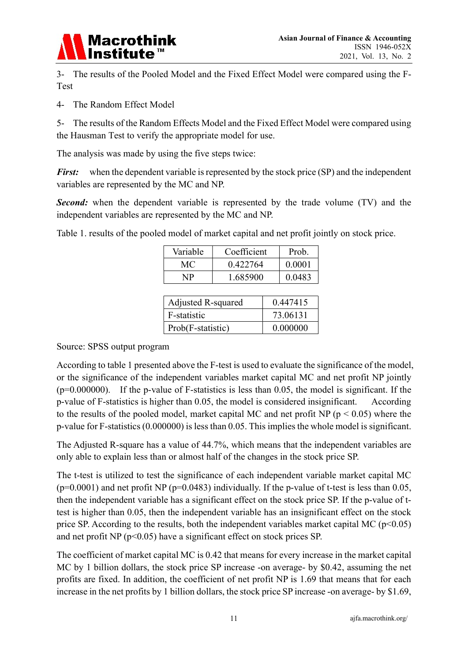

3- The results of the Pooled Model and the Fixed Effect Model were compared using the F-Test

4- The Random Effect Model

5- The results of the Random Effects Model and the Fixed Effect Model were compared using the Hausman Test to verify the appropriate model for use.

The analysis was made by using the five steps twice:

First: when the dependent variable is represented by the stock price (SP) and the independent variables are represented by the MC and NP.

Second: when the dependent variable is represented by the trade volume (TV) and the independent variables are represented by the MC and NP.

| Variable | Coefficient | Prob.  |
|----------|-------------|--------|
| MC       | 0.422764    | 0.0001 |
| ND       | 1.685900    | 0.0483 |

Table 1. results of the pooled model of market capital and net profit jointly on stock price.

| Adjusted R-squared | 0.447415 |
|--------------------|----------|
| F-statistic        | 73.06131 |
| Prob(F-statistic)  | 0.000000 |

Source: SPSS output program

According to table 1 presented above the F-test is used to evaluate the significance of the model, or the significance of the independent variables market capital MC and net profit NP jointly  $(p=0.000000)$ . If the p-value of F-statistics is less than 0.05, the model is significant. If the p-value of F-statistics is higher than 0.05, the model is considered insignificant. According to the results of the pooled model, market capital MC and net profit NP ( $p < 0.05$ ) where the p-value for F-statistics (0.000000) is less than 0.05. This implies the whole model is significant.

The Adjusted R-square has a value of 44.7%, which means that the independent variables are only able to explain less than or almost half of the changes in the stock price SP.

The t-test is utilized to test the significance of each independent variable market capital MC ( $p=0.0001$ ) and net profit NP ( $p=0.0483$ ) individually. If the p-value of t-test is less than 0.05, then the independent variable has a significant effect on the stock price SP. If the p-value of ttest is higher than 0.05, then the independent variable has an insignificant effect on the stock price SP. According to the results, both the independent variables market capital MC ( $p<0.05$ ) and net profit NP ( $p<0.05$ ) have a significant effect on stock prices SP.

The coefficient of market capital MC is 0.42 that means for every increase in the market capital MC by 1 billion dollars, the stock price SP increase -on average- by \$0.42, assuming the net profits are fixed. In addition, the coefficient of net profit NP is 1.69 that means that for each increase in the net profits by 1 billion dollars, the stock price SP increase -on average- by \$1.69,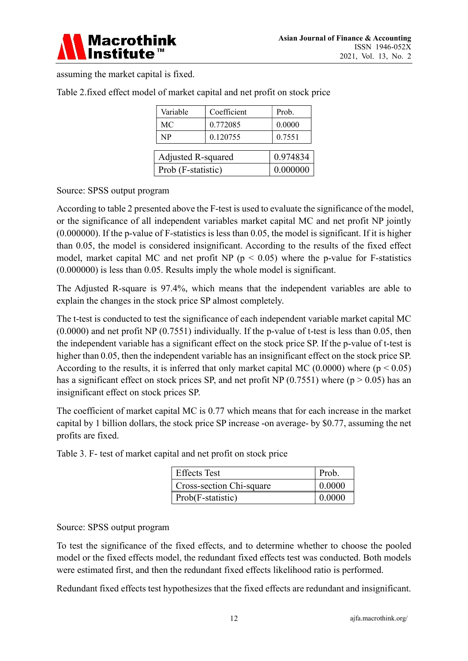

assuming the market capital is fixed.

| Variable           | Coefficient | Prob.    |
|--------------------|-------------|----------|
| MC                 | 0.772085    | 0.0000   |
| NP                 | 0.120755    | 0.7551   |
|                    |             |          |
| Adjusted R-squared |             | 0.974834 |
| Prob (F-statistic) |             | 0.000000 |

Table 2.fixed effect model of market capital and net profit on stock price

Source: SPSS output program

According to table 2 presented above the F-test is used to evaluate the significance of the model, or the significance of all independent variables market capital MC and net profit NP jointly (0.000000). If the p-value of F-statistics is less than 0.05, the model is significant. If it is higher than 0.05, the model is considered insignificant. According to the results of the fixed effect model, market capital MC and net profit NP ( $p < 0.05$ ) where the p-value for F-statistics (0.000000) is less than 0.05. Results imply the whole model is significant.

The Adjusted R-square is 97.4%, which means that the independent variables are able to explain the changes in the stock price SP almost completely.

The t-test is conducted to test the significance of each independent variable market capital MC (0.0000) and net profit NP (0.7551) individually. If the p-value of t-test is less than 0.05, then the independent variable has a significant effect on the stock price SP. If the p-value of t-test is higher than 0.05, then the independent variable has an insignificant effect on the stock price SP. According to the results, it is inferred that only market capital MC (0.0000) where ( $p < 0.05$ ) has a significant effect on stock prices SP, and net profit NP (0.7551) where ( $p > 0.05$ ) has an insignificant effect on stock prices SP.

The coefficient of market capital MC is 0.77 which means that for each increase in the market capital by 1 billion dollars, the stock price SP increase -on average- by \$0.77, assuming the net profits are fixed.

| Effects Test             | Prob.  |
|--------------------------|--------|
| Cross-section Chi-square | 0.0000 |
| Prob(F-statistic)        | 0.0000 |

Table 3. F- test of market capital and net profit on stock price

Source: SPSS output program

To test the significance of the fixed effects, and to determine whether to choose the pooled model or the fixed effects model, the redundant fixed effects test was conducted. Both models were estimated first, and then the redundant fixed effects likelihood ratio is performed.

Redundant fixed effects test hypothesizes that the fixed effects are redundant and insignificant.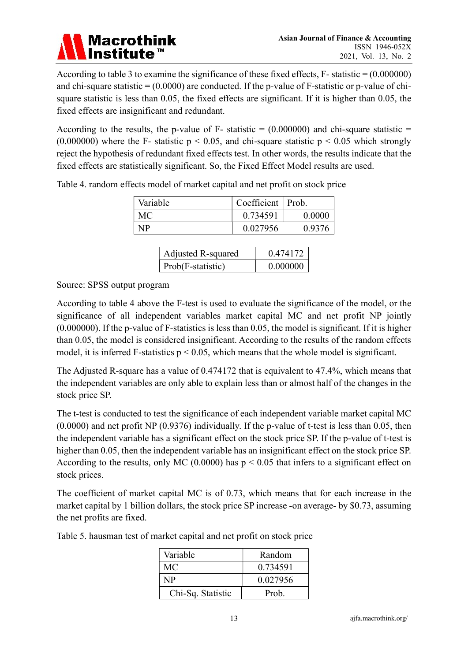

According to table 3 to examine the significance of these fixed effects,  $F -$  statistic = (0.000000) and chi-square statistic  $= (0.0000)$  are conducted. If the p-value of F-statistic or p-value of chisquare statistic is less than 0.05, the fixed effects are significant. If it is higher than 0.05, the fixed effects are insignificant and redundant.

According to the results, the p-value of F- statistic  $= (0.000000)$  and chi-square statistic  $=$ (0.000000) where the F- statistic  $p \le 0.05$ , and chi-square statistic  $p \le 0.05$  which strongly reject the hypothesis of redundant fixed effects test. In other words, the results indicate that the fixed effects are statistically significant. So, the Fixed Effect Model results are used.

| Variable  | Coefficient   Prob. |        |
|-----------|---------------------|--------|
| MС        | 0.734591            | 0.0000 |
| <b>NP</b> | 0.027956            | 0.9376 |

Table 4. random effects model of market capital and net profit on stock price

| Adjusted R-squared | 0.474172 |
|--------------------|----------|
| Prob(F-statistic)  | 0.000000 |

Source: SPSS output program

According to table 4 above the F-test is used to evaluate the significance of the model, or the significance of all independent variables market capital MC and net profit NP jointly (0.000000). If the p-value of F-statistics is less than 0.05, the model is significant. If it is higher than 0.05, the model is considered insignificant. According to the results of the random effects model, it is inferred F-statistics  $p < 0.05$ , which means that the whole model is significant.

The Adjusted R-square has a value of 0.474172 that is equivalent to 47.4%, which means that the independent variables are only able to explain less than or almost half of the changes in the stock price SP.

The t-test is conducted to test the significance of each independent variable market capital MC (0.0000) and net profit NP (0.9376) individually. If the p-value of t-test is less than 0.05, then the independent variable has a significant effect on the stock price SP. If the p-value of t-test is higher than 0.05, then the independent variable has an insignificant effect on the stock price SP. According to the results, only MC (0.0000) has  $p \le 0.05$  that infers to a significant effect on stock prices.

The coefficient of market capital MC is of 0.73, which means that for each increase in the market capital by 1 billion dollars, the stock price SP increase -on average- by \$0.73, assuming the net profits are fixed.

Table 5. hausman test of market capital and net profit on stock price

| Variable          | Random   |
|-------------------|----------|
| MС                | 0.734591 |
| NР                | 0.027956 |
| Chi-Sq. Statistic | Prob.    |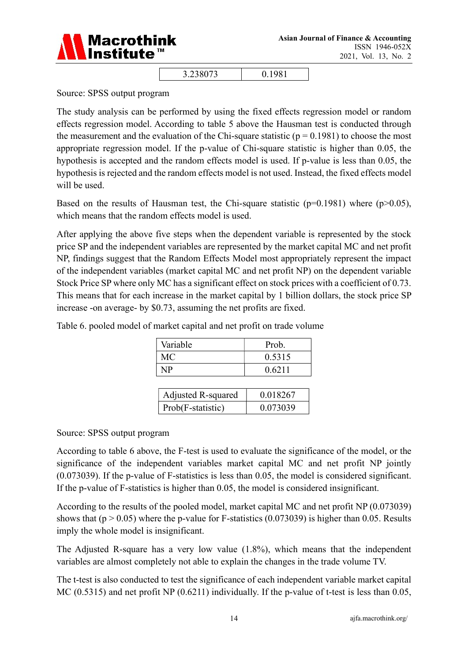

Source: SPSS output program

The study analysis can be performed by using the fixed effects regression model or random effects regression model. According to table 5 above the Hausman test is conducted through the measurement and the evaluation of the Chi-square statistic ( $p = 0.1981$ ) to choose the most appropriate regression model. If the p-value of Chi-square statistic is higher than 0.05, the hypothesis is accepted and the random effects model is used. If p-value is less than 0.05, the hypothesis is rejected and the random effects model is not used. Instead, the fixed effects model will be used.

Based on the results of Hausman test, the Chi-square statistic ( $p=0.1981$ ) where ( $p>0.05$ ), which means that the random effects model is used.

After applying the above five steps when the dependent variable is represented by the stock price SP and the independent variables are represented by the market capital MC and net profit NP, findings suggest that the Random Effects Model most appropriately represent the impact of the independent variables (market capital MC and net profit NP) on the dependent variable Stock Price SP where only MC has a significant effect on stock prices with a coefficient of 0.73. This means that for each increase in the market capital by 1 billion dollars, the stock price SP increase -on average- by \$0.73, assuming the net profits are fixed.

Table 6. pooled model of market capital and net profit on trade volume

| Variable | Prob.  |
|----------|--------|
| МC       | 0.5315 |
| ۸TD      | 0.6211 |

| <b>Adjusted R-squared</b> | 0.018267 |
|---------------------------|----------|
| Prob(F-statistic)         | 0.073039 |

# Source: SPSS output program

According to table 6 above, the F-test is used to evaluate the significance of the model, or the significance of the independent variables market capital MC and net profit NP jointly (0.073039). If the p-value of F-statistics is less than 0.05, the model is considered significant. If the p-value of F-statistics is higher than 0.05, the model is considered insignificant.

According to the results of the pooled model, market capital MC and net profit NP (0.073039) shows that ( $p > 0.05$ ) where the p-value for F-statistics (0.073039) is higher than 0.05. Results imply the whole model is insignificant.

The Adjusted R-square has a very low value (1.8%), which means that the independent variables are almost completely not able to explain the changes in the trade volume TV.

The t-test is also conducted to test the significance of each independent variable market capital MC (0.5315) and net profit NP (0.6211) individually. If the p-value of t-test is less than 0.05,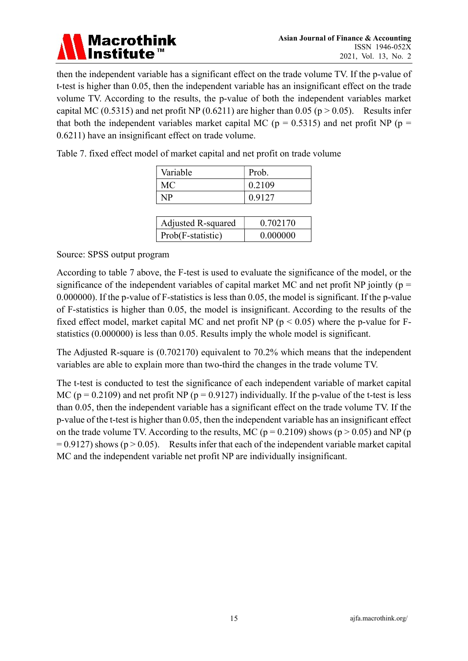

then the independent variable has a significant effect on the trade volume TV. If the p-value of t-test is higher than 0.05, then the independent variable has an insignificant effect on the trade volume TV. According to the results, the p-value of both the independent variables market capital MC (0.5315) and net profit NP (0.6211) are higher than 0.05 ( $p > 0.05$ ). Results infer that both the independent variables market capital MC ( $p = 0.5315$ ) and net profit NP ( $p =$ 0.6211) have an insignificant effect on trade volume.

| Variable           | Prob.    |
|--------------------|----------|
| МC                 | 0.2109   |
| NP                 | 0.9127   |
|                    |          |
| Adjusted R-squared | 0.702170 |
| Prob(F-statistic)  | 0.000000 |

Table 7. fixed effect model of market capital and net profit on trade volume

Source: SPSS output program

According to table 7 above, the F-test is used to evaluate the significance of the model, or the significance of the independent variables of capital market MC and net profit NP jointly ( $p =$ 0.000000). If the p-value of F-statistics is less than 0.05, the model is significant. If the p-value of F-statistics is higher than 0.05, the model is insignificant. According to the results of the fixed effect model, market capital MC and net profit NP ( $p < 0.05$ ) where the p-value for Fstatistics (0.000000) is less than 0.05. Results imply the whole model is significant.

The Adjusted R-square is (0.702170) equivalent to 70.2% which means that the independent variables are able to explain more than two-third the changes in the trade volume TV.

The t-test is conducted to test the significance of each independent variable of market capital MC ( $p = 0.2109$ ) and net profit NP ( $p = 0.9127$ ) individually. If the p-value of the t-test is less than 0.05, then the independent variable has a significant effect on the trade volume TV. If the p-value of the t-test is higher than 0.05, then the independent variable has an insignificant effect on the trade volume TV. According to the results, MC ( $p = 0.2109$ ) shows ( $p > 0.05$ ) and NP (p  $= 0.9127$ ) shows (p  $> 0.05$ ). Results infer that each of the independent variable market capital MC and the independent variable net profit NP are individually insignificant.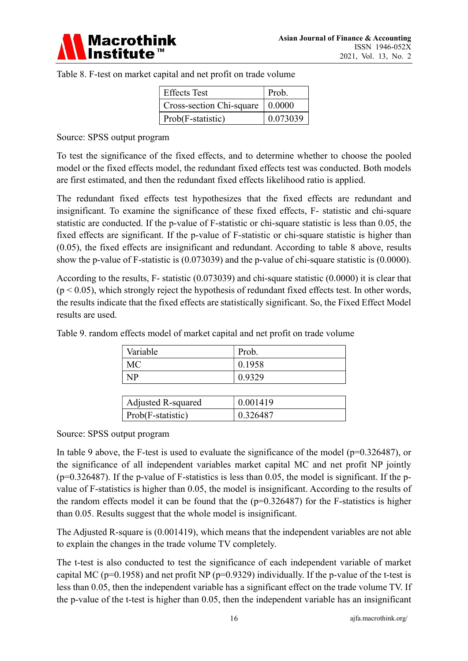

Table 8. F-test on market capital and net profit on trade volume

| <b>Effects</b> Test                             | Prob.    |
|-------------------------------------------------|----------|
| Cross-section Chi-square $\vert 0.0000 \rangle$ |          |
| Prob(F-statistic)                               | 0.073039 |

Source: SPSS output program

To test the significance of the fixed effects, and to determine whether to choose the pooled model or the fixed effects model, the redundant fixed effects test was conducted. Both models are first estimated, and then the redundant fixed effects likelihood ratio is applied.

The redundant fixed effects test hypothesizes that the fixed effects are redundant and insignificant. To examine the significance of these fixed effects, F- statistic and chi-square statistic are conducted. If the p-value of F-statistic or chi-square statistic is less than 0.05, the fixed effects are significant. If the p-value of F-statistic or chi-square statistic is higher than (0.05), the fixed effects are insignificant and redundant. According to table 8 above, results show the p-value of F-statistic is (0.073039) and the p-value of chi-square statistic is (0.0000).

According to the results, F- statistic (0.073039) and chi-square statistic (0.0000) it is clear that  $(p < 0.05)$ , which strongly reject the hypothesis of redundant fixed effects test. In other words, the results indicate that the fixed effects are statistically significant. So, the Fixed Effect Model results are used.

| Variable                  | Prob.    |
|---------------------------|----------|
| MC                        | 0.1958   |
| NP                        | 0.9329   |
|                           |          |
| <b>Adjusted R-squared</b> | 0.001419 |

Table 9. random effects model of market capital and net profit on trade volume

Prob(F-statistic) | 0.326487

Source: SPSS output program

In table 9 above, the F-test is used to evaluate the significance of the model ( $p=0.326487$ ), or the significance of all independent variables market capital MC and net profit NP jointly  $(p=0.326487)$ . If the p-value of F-statistics is less than 0.05, the model is significant. If the pvalue of F-statistics is higher than 0.05, the model is insignificant. According to the results of the random effects model it can be found that the  $(p=0.326487)$  for the F-statistics is higher than 0.05. Results suggest that the whole model is insignificant.

The Adjusted R-square is (0.001419), which means that the independent variables are not able to explain the changes in the trade volume TV completely.

The t-test is also conducted to test the significance of each independent variable of market capital MC ( $p=0.1958$ ) and net profit NP ( $p=0.9329$ ) individually. If the p-value of the t-test is less than 0.05, then the independent variable has a significant effect on the trade volume TV. If the p-value of the t-test is higher than 0.05, then the independent variable has an insignificant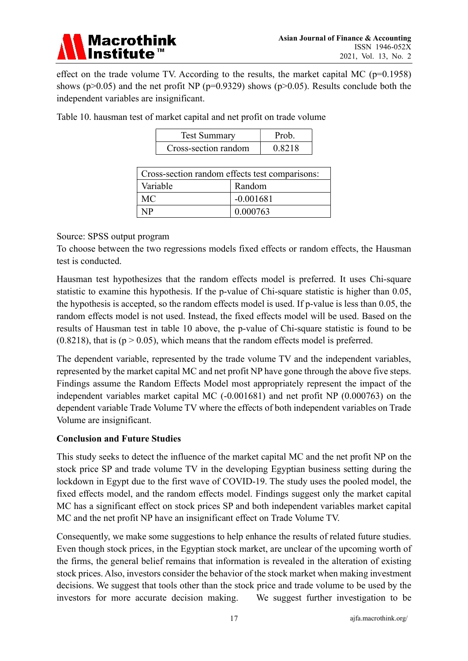

effect on the trade volume TV. According to the results, the market capital MC ( $p=0.1958$ ) shows ( $p > 0.05$ ) and the net profit NP ( $p = 0.9329$ ) shows ( $p > 0.05$ ). Results conclude both the independent variables are insignificant.

| <b>Test Summary</b>  | Prob.  |
|----------------------|--------|
| Cross-section random | 0.8218 |

| Cross-section random effects test comparisons: |             |
|------------------------------------------------|-------------|
| Variable                                       | Random      |
| MС                                             | $-0.001681$ |
|                                                | 0.000763    |

Table 10. hausman test of market capital and net profit on trade volume

# Source: SPSS output program

To choose between the two regressions models fixed effects or random effects, the Hausman test is conducted.

Hausman test hypothesizes that the random effects model is preferred. It uses Chi-square statistic to examine this hypothesis. If the p-value of Chi-square statistic is higher than 0.05, the hypothesis is accepted, so the random effects model is used. If p-value is less than 0.05, the random effects model is not used. Instead, the fixed effects model will be used. Based on the results of Hausman test in table 10 above, the p-value of Chi-square statistic is found to be  $(0.8218)$ , that is ( $p > 0.05$ ), which means that the random effects model is preferred.

The dependent variable, represented by the trade volume TV and the independent variables, represented by the market capital MC and net profit NP have gone through the above five steps. Findings assume the Random Effects Model most appropriately represent the impact of the independent variables market capital MC (-0.001681) and net profit NP (0.000763) on the dependent variable Trade Volume TV where the effects of both independent variables on Trade Volume are insignificant.

# Conclusion and Future Studies

This study seeks to detect the influence of the market capital MC and the net profit NP on the stock price SP and trade volume TV in the developing Egyptian business setting during the lockdown in Egypt due to the first wave of COVID-19. The study uses the pooled model, the fixed effects model, and the random effects model. Findings suggest only the market capital MC has a significant effect on stock prices SP and both independent variables market capital MC and the net profit NP have an insignificant effect on Trade Volume TV.

Consequently, we make some suggestions to help enhance the results of related future studies. Even though stock prices, in the Egyptian stock market, are unclear of the upcoming worth of the firms, the general belief remains that information is revealed in the alteration of existing stock prices. Also, investors consider the behavior of the stock market when making investment decisions. We suggest that tools other than the stock price and trade volume to be used by the investors for more accurate decision making. We suggest further investigation to be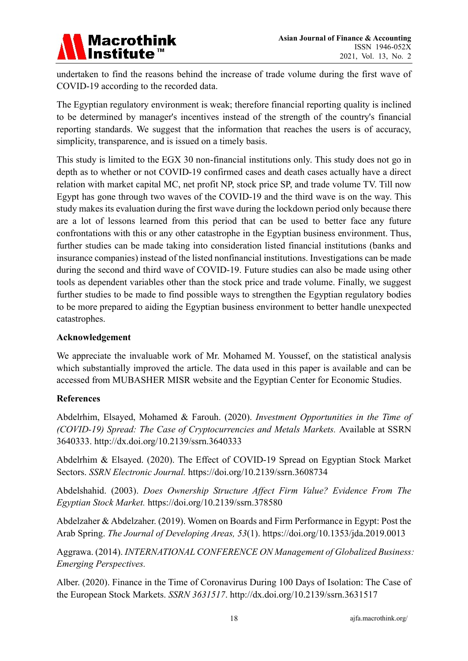

undertaken to find the reasons behind the increase of trade volume during the first wave of COVID-19 according to the recorded data.

The Egyptian regulatory environment is weak; therefore financial reporting quality is inclined to be determined by manager's incentives instead of the strength of the country's financial reporting standards. We suggest that the information that reaches the users is of accuracy, simplicity, transparence, and is issued on a timely basis.

This study is limited to the EGX 30 non-financial institutions only. This study does not go in depth as to whether or not COVID-19 confirmed cases and death cases actually have a direct relation with market capital MC, net profit NP, stock price SP, and trade volume TV. Till now Egypt has gone through two waves of the COVID-19 and the third wave is on the way. This study makes its evaluation during the first wave during the lockdown period only because there are a lot of lessons learned from this period that can be used to better face any future confrontations with this or any other catastrophe in the Egyptian business environment. Thus, further studies can be made taking into consideration listed financial institutions (banks and insurance companies) instead of the listed nonfinancial institutions. Investigations can be made during the second and third wave of COVID-19. Future studies can also be made using other tools as dependent variables other than the stock price and trade volume. Finally, we suggest further studies to be made to find possible ways to strengthen the Egyptian regulatory bodies to be more prepared to aiding the Egyptian business environment to better handle unexpected catastrophes.

# Acknowledgement

We appreciate the invaluable work of Mr. Mohamed M. Youssef, on the statistical analysis which substantially improved the article. The data used in this paper is available and can be accessed from MUBASHER MISR website and the Egyptian Center for Economic Studies.

# References

Abdelrhim, Elsayed, Mohamed & Farouh. (2020). Investment Opportunities in the Time of (COVID-19) Spread: The Case of Cryptocurrencies and Metals Markets. Available at SSRN 3640333. http://dx.doi.org/10.2139/ssrn.3640333

Abdelrhim & Elsayed. (2020). The Effect of COVID-19 Spread on Egyptian Stock Market Sectors. SSRN Electronic Journal. https://doi.org/10.2139/ssrn.3608734

Abdelshahid. (2003). Does Ownership Structure Affect Firm Value? Evidence From The Egyptian Stock Market. https://doi.org/10.2139/ssrn.378580

Abdelzaher & Abdelzaher. (2019). Women on Boards and Firm Performance in Egypt: Post the Arab Spring. The Journal of Developing Areas, 53(1). https://doi.org/10.1353/jda.2019.0013

Aggrawa. (2014). INTERNATIONAL CONFERENCE ON Management of Globalized Business: Emerging Perspectives.

Alber. (2020). Finance in the Time of Coronavirus During 100 Days of Isolation: The Case of the European Stock Markets. SSRN 3631517. http://dx.doi.org/10.2139/ssrn.3631517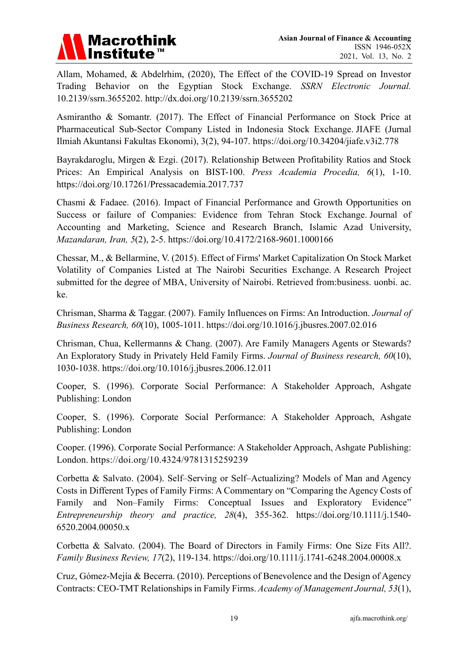

Allam, Mohamed, & Abdelrhim, (2020), The Effect of the COVID-19 Spread on Investor Trading Behavior on the Egyptian Stock Exchange. SSRN Electronic Journal. 10.2139/ssrn.3655202. http://dx.doi.org/10.2139/ssrn.3655202

Asmirantho & Somantr. (2017). The Effect of Financial Performance on Stock Price at Pharmaceutical Sub-Sector Company Listed in Indonesia Stock Exchange. JIAFE (Jurnal Ilmiah Akuntansi Fakultas Ekonomi), 3(2), 94-107. https://doi.org/10.34204/jiafe.v3i2.778

Bayrakdaroglu, Mirgen & Ezgi. (2017). Relationship Between Profitability Ratios and Stock Prices: An Empirical Analysis on BIST-100. Press Academia Procedia, 6(1), 1-10. https://doi.org/10.17261/Pressacademia.2017.737

Chasmi & Fadaee. (2016). Impact of Financial Performance and Growth Opportunities on Success or failure of Companies: Evidence from Tehran Stock Exchange. Journal of Accounting and Marketing, Science and Research Branch, Islamic Azad University, Mazandaran, Iran, 5(2), 2-5. https://doi.org/10.4172/2168-9601.1000166

Chessar, M., & Bellarmine, V. (2015). Effect of Firms' Market Capitalization On Stock Market Volatility of Companies Listed at The Nairobi Securities Exchange. A Research Project submitted for the degree of MBA, University of Nairobi. Retrieved from:business. uonbi. ac. ke.

Chrisman, Sharma & Taggar. (2007). Family Influences on Firms: An Introduction. Journal of Business Research, 60(10), 1005-1011. https://doi.org/10.1016/j.jbusres.2007.02.016

Chrisman, Chua, Kellermanns & Chang. (2007). Are Family Managers Agents or Stewards? An Exploratory Study in Privately Held Family Firms. Journal of Business research, 60(10), 1030-1038. https://doi.org/10.1016/j.jbusres.2006.12.011

Cooper, S. (1996). Corporate Social Performance: A Stakeholder Approach, Ashgate Publishing: London

Cooper, S. (1996). Corporate Social Performance: A Stakeholder Approach, Ashgate Publishing: London

Cooper. (1996). Corporate Social Performance: A Stakeholder Approach, Ashgate Publishing: London. https://doi.org/10.4324/9781315259239

Corbetta & Salvato. (2004). Self–Serving or Self–Actualizing? Models of Man and Agency Costs in Different Types of Family Firms: A Commentary on "Comparing the Agency Costs of Family and Non–Family Firms: Conceptual Issues and Exploratory Evidence" Entrepreneurship theory and practice, 28(4), 355-362. https://doi.org/10.1111/j.1540- 6520.2004.00050.x

Corbetta & Salvato. (2004). The Board of Directors in Family Firms: One Size Fits All?. Family Business Review, 17(2), 119-134. https://doi.org/10.1111/j.1741-6248.2004.00008.x

Cruz, Gómez-Mejía & Becerra. (2010). Perceptions of Benevolence and the Design of Agency Contracts: CEO-TMT Relationships in Family Firms. Academy of Management Journal, 53(1),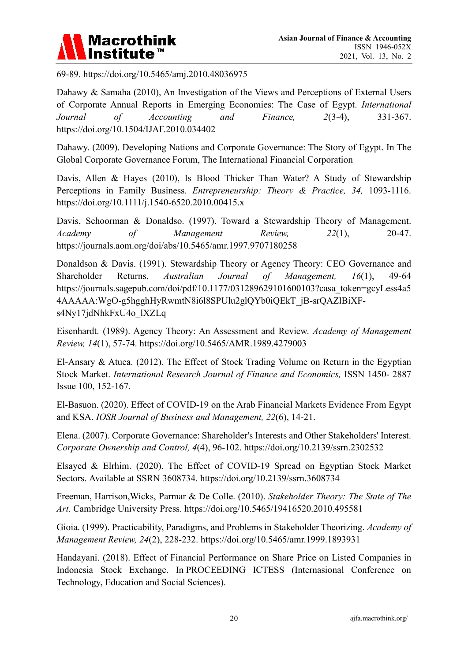

69-89. https://doi.org/10.5465/amj.2010.48036975

Dahawy & Samaha (2010), An Investigation of the Views and Perceptions of External Users of Corporate Annual Reports in Emerging Economies: The Case of Egypt. International Journal of Accounting and Finance, 2(3-4), 331-367. https://doi.org/10.1504/IJAF.2010.034402

Dahawy. (2009). Developing Nations and Corporate Governance: The Story of Egypt. In The Global Corporate Governance Forum, The International Financial Corporation

Davis, Allen & Hayes (2010), Is Blood Thicker Than Water? A Study of Stewardship Perceptions in Family Business. Entrepreneurship: Theory & Practice, 34, 1093-1116. https://doi.org/10.1111/j.1540-6520.2010.00415.x

Davis, Schoorman & Donaldso. (1997). Toward a Stewardship Theory of Management. Academy of Management Review, 22(1), 20-47. https://journals.aom.org/doi/abs/10.5465/amr.1997.9707180258

Donaldson & Davis. (1991). Stewardship Theory or Agency Theory: CEO Governance and Shareholder Returns. Australian Journal of Management, 16(1), 49-64 https://journals.sagepub.com/doi/pdf/10.1177/031289629101600103?casa\_token=gcyLess4a5 4AAAAA:WgO-g5hgghHyRwmtN8i6l8SPUlu2glQYb0iQEkT\_jB-srQAZlBiXFs4Ny17jdNhkFxU4o\_lXZLq

Eisenhardt. (1989). Agency Theory: An Assessment and Review. Academy of Management Review, 14(1), 57-74. https://doi.org/10.5465/AMR.1989.4279003

El-Ansary & Atuea. (2012). The Effect of Stock Trading Volume on Return in the Egyptian Stock Market. International Research Journal of Finance and Economics, ISSN 1450- 2887 Issue 100, 152-167.

El-Basuon. (2020). Effect of COVID-19 on the Arab Financial Markets Evidence From Egypt and KSA. IOSR Journal of Business and Management, 22(6), 14-21.

Elena. (2007). Corporate Governance: Shareholder's Interests and Other Stakeholders' Interest. Corporate Ownership and Control, 4(4), 96-102. https://doi.org/10.2139/ssrn.2302532

Elsayed & Elrhim. (2020). The Effect of COVID-19 Spread on Egyptian Stock Market Sectors. Available at SSRN 3608734. https://doi.org/10.2139/ssrn.3608734

Freeman, Harrison,Wicks, Parmar & De Colle. (2010). Stakeholder Theory: The State of The Art. Cambridge University Press. https://doi.org/10.5465/19416520.2010.495581

Gioia. (1999). Practicability, Paradigms, and Problems in Stakeholder Theorizing. Academy of Management Review, 24(2), 228-232. https://doi.org/10.5465/amr.1999.1893931

Handayani. (2018). Effect of Financial Performance on Share Price on Listed Companies in Indonesia Stock Exchange. In PROCEEDING ICTESS (Internasional Conference on Technology, Education and Social Sciences).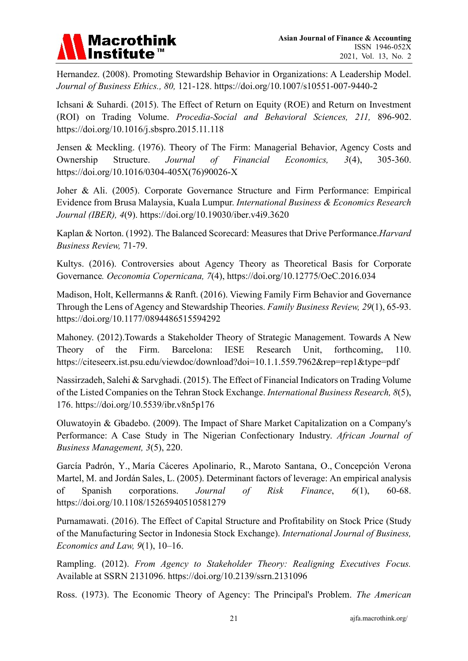

Hernandez. (2008). Promoting Stewardship Behavior in Organizations: A Leadership Model. Journal of Business Ethics., 80, 121-128. https://doi.org/10.1007/s10551-007-9440-2

Ichsani & Suhardi. (2015). The Effect of Return on Equity (ROE) and Return on Investment (ROI) on Trading Volume. Procedia-Social and Behavioral Sciences, 211, 896-902. https://doi.org/10.1016/j.sbspro.2015.11.118

Jensen & Meckling. (1976). Theory of The Firm: Managerial Behavior, Agency Costs and Ownership Structure. Journal of Financial Economics, 3(4), 305-360. https://doi.org/10.1016/0304-405X(76)90026-X

Joher & Ali. (2005). Corporate Governance Structure and Firm Performance: Empirical Evidence from Brusa Malaysia, Kuala Lumpur. International Business & Economics Research Journal (IBER), 4(9). https://doi.org/10.19030/iber.v4i9.3620

Kaplan & Norton. (1992). The Balanced Scorecard: Measures that Drive Performance. Harvard Business Review, 71-79.

Kultys. (2016). Controversies about Agency Theory as Theoretical Basis for Corporate Governance. Oeconomia Copernicana, 7(4), https://doi.org/10.12775/OeC.2016.034

Madison, Holt, Kellermanns & Ranft. (2016). Viewing Family Firm Behavior and Governance Through the Lens of Agency and Stewardship Theories. Family Business Review, 29(1), 65-93. https://doi.org/10.1177/0894486515594292

Mahoney. (2012).Towards a Stakeholder Theory of Strategic Management. Towards A New Theory of the Firm. Barcelona: IESE Research Unit, forthcoming, 110. https://citeseerx.ist.psu.edu/viewdoc/download?doi=10.1.1.559.7962&rep=rep1&type=pdf

Nassirzadeh, Salehi & Sarvghadi. (2015). The Effect of Financial Indicators on Trading Volume of the Listed Companies on the Tehran Stock Exchange. International Business Research, 8(5), 176. https://doi.org/10.5539/ibr.v8n5p176

Oluwatoyin & Gbadebo. (2009). The Impact of Share Market Capitalization on a Company's Performance: A Case Study in The Nigerian Confectionary Industry. African Journal of Business Management, 3(5), 220.

García Padrón, Y., María Cáceres Apolinario, R., Maroto Santana, O., Concepción Verona Martel, M. and Jordán Sales, L. (2005). Determinant factors of leverage: An empirical analysis of Spanish corporations. Journal of Risk Finance, 6(1), 60-68. https://doi.org/10.1108/15265940510581279

Purnamawati. (2016). The Effect of Capital Structure and Profitability on Stock Price (Study of the Manufacturing Sector in Indonesia Stock Exchange). International Journal of Business, Economics and Law, 9(1), 10–16.

Rampling. (2012). From Agency to Stakeholder Theory: Realigning Executives Focus. Available at SSRN 2131096. https://doi.org/10.2139/ssrn.2131096

Ross. (1973). The Economic Theory of Agency: The Principal's Problem. The American